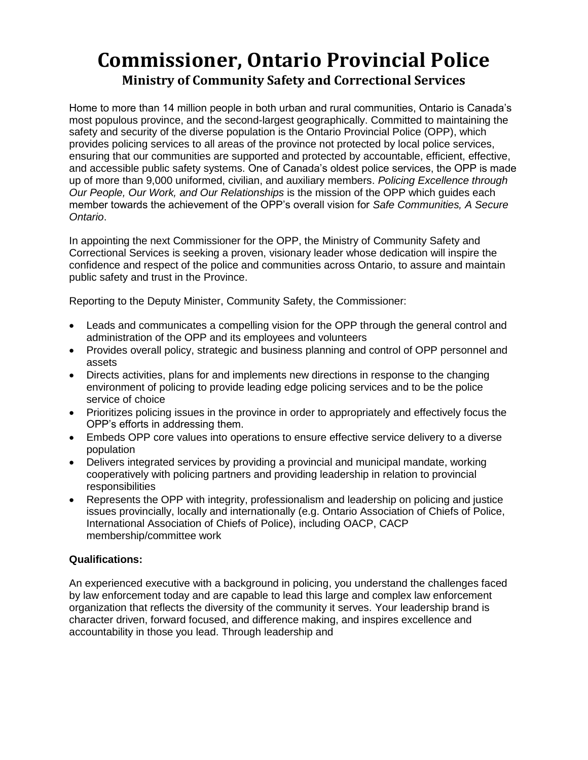## **Commissioner, Ontario Provincial Police Ministry of Community Safety and Correctional Services**

Home to more than 14 million people in both urban and rural communities, Ontario is Canada's most populous province, and the second-largest geographically. Committed to maintaining the safety and security of the diverse population is the Ontario Provincial Police (OPP), which provides policing services to all areas of the province not protected by local police services, ensuring that our communities are supported and protected by accountable, efficient, effective, and accessible public safety systems. One of Canada's oldest police services, the OPP is made up of more than 9,000 uniformed, civilian, and auxiliary members. *Policing Excellence through Our People, Our Work, and Our Relationships* is the mission of the OPP which guides each member towards the achievement of the OPP's overall vision for *Safe Communities, A Secure Ontario*.

In appointing the next Commissioner for the OPP, the Ministry of Community Safety and Correctional Services is seeking a proven, visionary leader whose dedication will inspire the confidence and respect of the police and communities across Ontario, to assure and maintain public safety and trust in the Province.

Reporting to the Deputy Minister, Community Safety, the Commissioner:

- Leads and communicates a compelling vision for the OPP through the general control and administration of the OPP and its employees and volunteers
- Provides overall policy, strategic and business planning and control of OPP personnel and assets
- Directs activities, plans for and implements new directions in response to the changing environment of policing to provide leading edge policing services and to be the police service of choice
- Prioritizes policing issues in the province in order to appropriately and effectively focus the OPP's efforts in addressing them.
- Embeds OPP core values into operations to ensure effective service delivery to a diverse population
- Delivers integrated services by providing a provincial and municipal mandate, working cooperatively with policing partners and providing leadership in relation to provincial **responsibilities**
- Represents the OPP with integrity, professionalism and leadership on policing and justice issues provincially, locally and internationally (e.g. Ontario Association of Chiefs of Police, International Association of Chiefs of Police), including OACP, CACP membership/committee work

## **Qualifications:**

An experienced executive with a background in policing, you understand the challenges faced by law enforcement today and are capable to lead this large and complex law enforcement organization that reflects the diversity of the community it serves. Your leadership brand is character driven, forward focused, and difference making, and inspires excellence and accountability in those you lead. Through leadership and